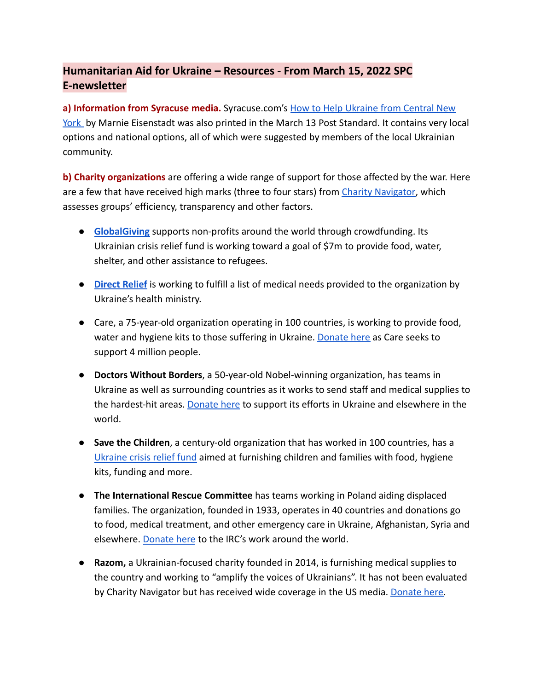# **Humanitarian Aid for Ukraine – Resources - From March 15, 2022 SPC E-newsletter**

**a) Information from Syracuse media.** Syracuse.com's [How to Help Ukraine from Central New](https://www.syracuse.com/news/2022/03/how-to-help-ukraine-from-central-new-york-ways-to-give-money-supplies-support.html) [York](https://www.syracuse.com/news/2022/03/how-to-help-ukraine-from-central-new-york-ways-to-give-money-supplies-support.html) by Marnie Eisenstadt was also printed in the March 13 Post Standard. It contains very local options and national options, all of which were suggested by members of the local Ukrainian community.

**b) Charity organizations** are offering a wide range of support for those affected by the war. Here are a few that have received high marks (three to four stars) from [Charity Navigator,](https://www.charitynavigator.org/index.cfm?bay=content.view&cpid=9366) which assesses groups' efficiency, transparency and other factors.

- **[GlobalGiving](https://www.globalgiving.org/projects/ukraine-crisis-relief-fund/)** supports non-profits around the world through crowdfunding. Its Ukrainian crisis relief fund is working toward a goal of \$7m to provide food, water, shelter, and other assistance to refugees.
- **[Direct Relief](https://www.directrelief.org/emergency/ukraine-crisis/)** is working to fulfill a list of medical needs provided to the organization by Ukraine's health ministry.
- Care, a 75-year-old organization operating in 100 countries, is working to provide food, water and hygiene kits to those suffering in Ukraine. [Donate here](https://my.care.org/site/Donation2?df_id=31067&mfc_pref=T&31067.donation=form1&s_src=172223UCF000&_ga=2.183656673.616798587.1646339041-1504107301.1646339041) as Care seeks to support 4 million people.
- **Doctors Without Borders**, a 50-year-old Nobel-winning organization, has teams in Ukraine as well as surrounding countries as it works to send staff and medical supplies to the hardest-hit areas. [Donate here](https://donate.doctorswithoutborders.org/secure/donate?_ga=2.102248257.1922012806.1646341435-1509018246.1646341435) to support its efforts in Ukraine and elsewhere in the world.
- **Save the Children**, a century-old organization that has worked in 100 countries, has a [Ukraine crisis relief fund](https://support.savethechildren.org/site/Donation2?df_id=5751&mfc_pref=T&5751.donation=form1) aimed at furnishing children and families with food, hygiene kits, funding and more.
- **The International Rescue Committee** has teams working in Poland aiding displaced families. The organization, founded in 1933, operates in 40 countries and donations go to food, medical treatment, and other emergency care in Ukraine, Afghanistan, Syria and elsewhere. [Donate here](https://help.rescue.org/donate/ukraine-acq?ms=ws_article_h2h_fy22_ukraine_mmus_feb&initialms=ws_article_h2h_fy22_ukraine_mmus_feb) to the IRC's work around the world.
- **Razom,** a Ukrainian-focused charity founded in 2014, is furnishing medical supplies to the country and working to "amplify the voices of Ukrainians". It has not been evaluated by Charity Navigator but has received wide coverage in the US media. [Donate here.](https://razomforukraine.org/donate/)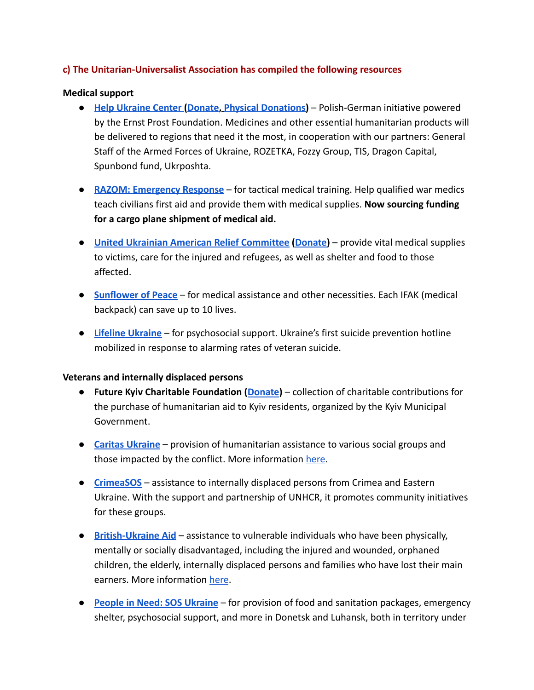## **c) The Unitarian-Universalist Association has compiled the following resources**

### **Medical support**

- **[Help Ukraine Center](https://helpukraine.center/en) ([Donate](https://www.ernst-prost-stiftung.org/en-gb/spenden), [Physical Donations\)](https://helpukraine.center/en)** Polish-German initiative powered by the Ernst Prost Foundation. Medicines and other essential humanitarian products will be delivered to regions that need it the most, in cooperation with our partners: General Staff of the Armed Forces of Ukraine, ROZETKA, Fozzy Group, TIS, Dragon Capital, Spunbond fund, Ukrposhta.
- **[RAZOM: Emergency Response](https://razomforukraine.org/razom-emergency-response/)** for tactical medical training. Help qualified war medics teach civilians first aid and provide them with medical supplies. **Now sourcing funding for a cargo plane shipment of medical aid.**
- **[United Ukrainian American Relief Committee](https://www.uuarc.org/) [\(Donate\)](https://www.gofundme.com/f/humanitarian-aid-to-victims-of-war-in-ukraine?utm_campaign=contacts-v2-invite-to-donate&utm_medium=sms&utm_source=twilio)** provide vital medical supplies to victims, care for the injured and refugees, as well as shelter and food to those affected.
- **[Sunflower of Peace](https://www.facebook.com/donate/507886070680475/?__cft__%5b0%5d=AZWOo6XpANoI0QnuQb5sQ3Vrsj4r-Aq-p76uxleoR3Ale6FIsUrxmL1V6ljorbxrI59L9GzG02GHC3bcZvEtc6rPvfNi4lWPPSdGIXffPJX0WjlXkazI9eeDn5cpmuVLi4GmPGMRKrC5OBOeSYiPW6hy&__tn__=-UK-R)** for medical assistance and other necessities. Each IFAK (medical backpack) can save up to 10 lives.
- **[Lifeline Ukraine](https://lifelineukraine.com/en/donation)** for psychosocial support. Ukraine's first suicide prevention hotline mobilized in response to alarming rates of veteran suicide.

#### **Veterans and internally displaced persons**

- **Future Kyiv Charitable Foundation ([Donate](https://potreby.kyivcity.gov.ua/))** collection of charitable contributions for the purchase of humanitarian aid to Kyiv residents, organized by the Kyiv Municipal Government.
- **[Caritas Ukraine](https://www.liqpay.ua/uk/checkout/card/checkout_1645696212178819_20241666_pAXmIuNMC7sGE8yEdLzr)** provision of humanitarian assistance to various social groups and those impacted by the conflict. More information [here](https://caritas.ua/).
- **[CrimeaSOS](https://www.unhcr.org/ua/en/32243-denys-savchenko-crimeasos.html)** assistance to internally displaced persons from Crimea and Eastern Ukraine. With the support and partnership of UNHCR, it promotes community initiatives for these groups.
- **[British-Ukraine Aid](https://british-ukrainianaid.org/make-a-donation/)** assistance to vulnerable individuals who have been physically, mentally or socially disadvantaged, including the injured and wounded, orphaned children, the elderly, internally displaced persons and families who have lost their main earners. More information [here](https://british-ukrainianaid.org/).
- **[People in Need: SOS Ukraine](https://www.peopleinneed.net/what-we-do/humanitarian-aid-and-development/ukraine)** for provision of food and sanitation packages, emergency shelter, psychosocial support, and more in Donetsk and Luhansk, both in territory under